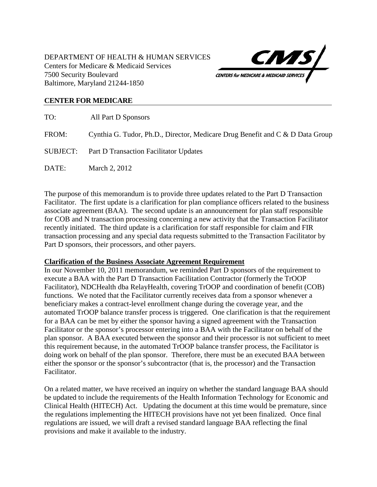

## **CENTER FOR MEDICARE**

| TO:   | All Part D Sponsors                                                           |
|-------|-------------------------------------------------------------------------------|
| FROM: | Cynthia G. Tudor, Ph.D., Director, Medicare Drug Benefit and C & D Data Group |
|       | <b>SUBJECT:</b> Part D Transaction Facilitator Updates                        |
| DATE: | March 2, 2012                                                                 |
|       |                                                                               |

The purpose of this memorandum is to provide three updates related to the Part D Transaction Facilitator. The first update is a clarification for plan compliance officers related to the business associate agreement (BAA). The second update is an announcement for plan staff responsible for COB and N transaction processing concerning a new activity that the Transaction Facilitator recently initiated. The third update is a clarification for staff responsible for claim and FIR transaction processing and any special data requests submitted to the Transaction Facilitator by Part D sponsors, their processors, and other payers.

## **Clarification of the Business Associate Agreement Requirement**

In our November 10, 2011 memorandum, we reminded Part D sponsors of the requirement to execute a BAA with the Part D Transaction Facilitation Contractor (formerly the TrOOP Facilitator), NDCHealth dba RelayHealth, covering TrOOP and coordination of benefit (COB) functions. We noted that the Facilitator currently receives data from a sponsor whenever a beneficiary makes a contract-level enrollment change during the coverage year, and the automated TrOOP balance transfer process is triggered. One clarification is that the requirement for a BAA can be met by either the sponsor having a signed agreement with the Transaction Facilitator or the sponsor's processor entering into a BAA with the Facilitator on behalf of the plan sponsor. A BAA executed between the sponsor and their processor is not sufficient to meet this requirement because, in the automated TrOOP balance transfer process, the Facilitator is doing work on behalf of the plan sponsor. Therefore, there must be an executed BAA between either the sponsor or the sponsor's subcontractor (that is, the processor) and the Transaction Facilitator.

On a related matter, we have received an inquiry on whether the standard language BAA should be updated to include the requirements of the Health Information Technology for Economic and Clinical Health (HITECH) Act. Updating the document at this time would be premature, since the regulations implementing the HITECH provisions have not yet been finalized. Once final regulations are issued, we will draft a revised standard language BAA reflecting the final provisions and make it available to the industry.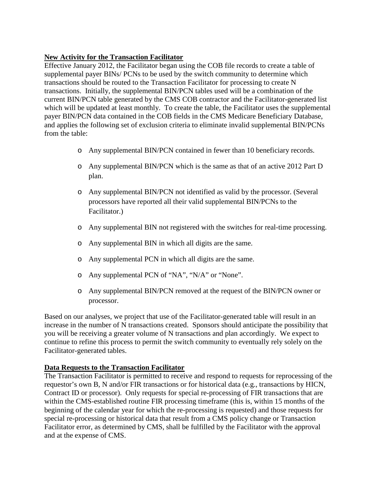## **New Activity for the Transaction Facilitator**

Effective January 2012, the Facilitator began using the COB file records to create a table of supplemental payer BINs/ PCNs to be used by the switch community to determine which transactions should be routed to the Transaction Facilitator for processing to create N transactions. Initially, the supplemental BIN/PCN tables used will be a combination of the current BIN/PCN table generated by the CMS COB contractor and the Facilitator-generated list which will be updated at least monthly. To create the table, the Facilitator uses the supplemental payer BIN/PCN data contained in the COB fields in the CMS Medicare Beneficiary Database, and applies the following set of exclusion criteria to eliminate invalid supplemental BIN/PCNs from the table:

- o Any supplemental BIN/PCN contained in fewer than 10 beneficiary records.
- o Any supplemental BIN/PCN which is the same as that of an active 2012 Part D plan.
- o Any supplemental BIN/PCN not identified as valid by the processor. (Several processors have reported all their valid supplemental BIN/PCNs to the Facilitator.)
- o Any supplemental BIN not registered with the switches for real-time processing.
- o Any supplemental BIN in which all digits are the same.
- o Any supplemental PCN in which all digits are the same.
- o Any supplemental PCN of "NA", "N/A" or "None".
- o Any supplemental BIN/PCN removed at the request of the BIN/PCN owner or processor.

Based on our analyses, we project that use of the Facilitator-generated table will result in an increase in the number of N transactions created. Sponsors should anticipate the possibility that you will be receiving a greater volume of N transactions and plan accordingly. We expect to continue to refine this process to permit the switch community to eventually rely solely on the Facilitator-generated tables.

## **Data Requests to the Transaction Facilitator**

The Transaction Facilitator is permitted to receive and respond to requests for reprocessing of the requestor's own B, N and/or FIR transactions or for historical data (e.g., transactions by HICN, Contract ID or processor). Only requests for special re-processing of FIR transactions that are within the CMS-established routine FIR processing timeframe (this is, within 15 months of the beginning of the calendar year for which the re-processing is requested) and those requests for special re-processing or historical data that result from a CMS policy change or Transaction Facilitator error, as determined by CMS, shall be fulfilled by the Facilitator with the approval and at the expense of CMS.